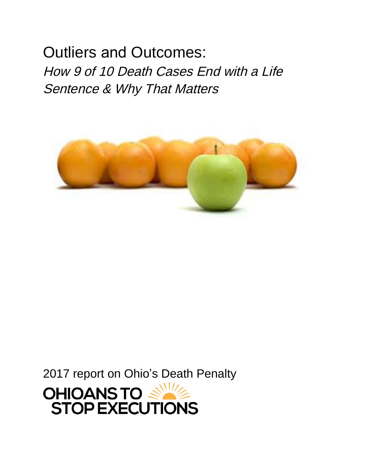Outliers and Outcomes: *How 9 of 10 Death Cases End with a Life Sentence & Why That Matters* 



2017 report on Ohio's Death Penalty

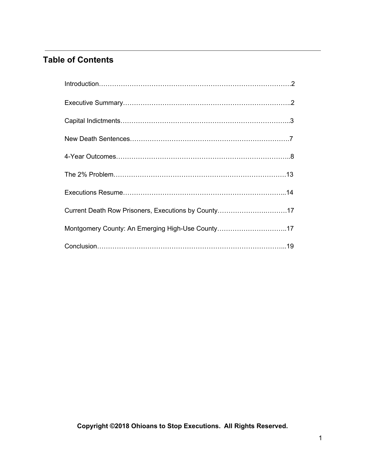# **Table of Contents**

| Introduction 2                                      |
|-----------------------------------------------------|
|                                                     |
|                                                     |
|                                                     |
|                                                     |
|                                                     |
|                                                     |
| Current Death Row Prisoners, Executions by County17 |
| Montgomery County: An Emerging High-Use County17    |
|                                                     |

**Copyright © 2018 Ohioans to Stop Executions. All Rights Reserved.**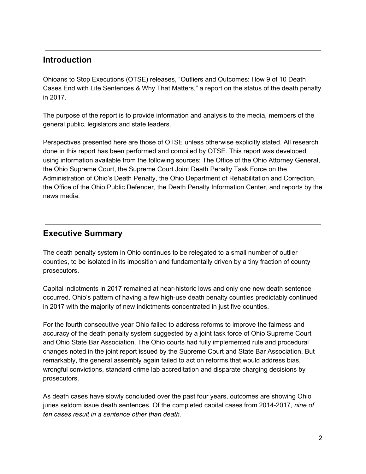### **Introduction**

Ohioans to Stop Executions (OTSE) releases, "Outliers and Outcomes: How 9 of 10 Death Cases End with Life Sentences & Why That Matters," a report on the status of the death penalty in 2017.

The purpose of the report is to provide information and analysis to the media, members of the general public, legislators and state leaders.

Perspectives presented here are those of OTSE unless otherwise explicitly stated. All research done in this report has been performed and compiled by OTSE. This report was developed using information available from the following sources: The Office of the Ohio Attorney General, the Ohio Supreme Court, the Supreme Court Joint Death Penalty Task Force on the Administration of Ohio's Death Penalty, the Ohio Department of Rehabilitation and Correction, the Office of the Ohio Public Defender, the Death Penalty Information Center, and reports by the news media.

## **Executive Summary**

The death penalty system in Ohio continues to be relegated to a small number of outlier counties, to be isolated in its imposition and fundamentally driven by a tiny fraction of county prosecutors.

Capital indictments in 2017 remained at near-historic lows and only one new death sentence occurred. Ohio's pattern of having a few high-use death penalty counties predictably continued in 2017 with the majority of new indictments concentrated in just five counties.

For the fourth consecutive year Ohio failed to address reforms to improve the fairness and accuracy of the death penalty system suggested by a joint task force of Ohio Supreme Court and Ohio State Bar Association. The Ohio courts had fully implemented rule and procedural changes noted in the joint report issued by the Supreme Court and State Bar Association. But remarkably, the general assembly again failed to act on reforms that would address bias, wrongful convictions, standard crime lab accreditation and disparate charging decisions by prosecutors.

As death cases have slowly concluded over the past four years, outcomes are showing Ohio juries seldom issue death sentences. Of the completed capital cases from 2014-2017, *nine of ten cases result in a sentence other than death.*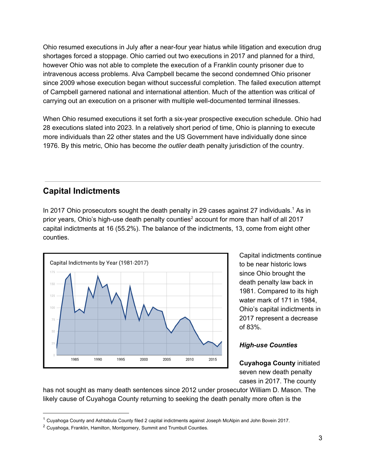Ohio resumed executions in July after a near-four year hiatus while litigation and execution drug shortages forced a stoppage. Ohio carried out two executions in 2017 and planned for a third, however Ohio was not able to complete the execution of a Franklin county prisoner due to intravenous access problems. Alva Campbell became the second condemned Ohio prisoner since 2009 whose execution began without successful completion. The failed execution attempt of Campbell garnered national and international attention. Much of the attention was critical of carrying out an execution on a prisoner with multiple well-documented terminal illnesses.

When Ohio resumed executions it set forth a six-year prospective execution schedule. Ohio had 28 executions slated into 2023. In a relatively short period of time, Ohio is planning to execute more individuals than 22 other states and the US Government have individually done since 1976. By this metric, Ohio has become *the outlier* death penalty jurisdiction of the country.

### **Capital Indictments**

In 2017 Ohio prosecutors sought the death penalty in 29 cases against 27 individuals.<sup>1</sup> As in prior years, Ohio's high-use death penalty counties<sup>2</sup> account for more than half of all 2017 capital indictments at 16 (55.2%). The balance of the indictments, 13, come from eight other counties.



Capital indictments continue to be near historic lows since Ohio brought the death penalty law back in 1981. Compared to its high water mark of 171 in 1984, Ohio's capital indictments in 2017 represent a decrease of 83%.

### *High-use Counties*

**Cuyahoga County** initiated seven new death penalty cases in 2017. The county

has not sought as many death sentences since 2012 under prosecutor William D. Mason. The likely cause of Cuyahoga County returning to seeking the death penalty more often is the

 $1$  Cuyahoga County and Ashtabula County filed 2 capital indictments against Joseph McAlpin and John Bovein 2017.

<sup>&</sup>lt;sup>2</sup> Cuyahoga, Franklin, Hamilton, Montgomery, Summit and Trumbull Counties.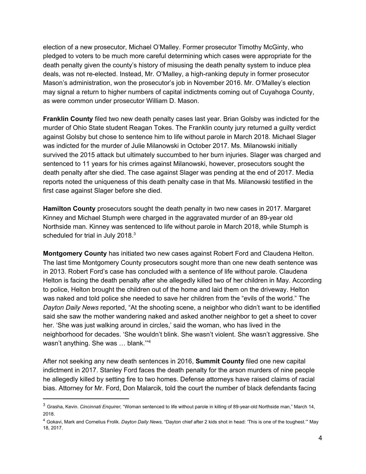election of a new prosecutor, Michael O'Malley. Former prosecutor Timothy McGinty, who pledged to voters to be much more careful determining which cases were appropriate for the death penalty given the county's history of misusing the death penalty system to induce plea deals, was not re-elected. Instead, Mr. O'Malley, a high-ranking deputy in former prosecutor Mason's administration, won the prosecutor's job in November 2016. Mr. O'Malley's election may signal a return to higher numbers of capital indictments coming out of Cuyahoga County, as were common under prosecutor William D. Mason.

**Franklin County** filed two new death penalty cases last year. Brian Golsby was indicted for the murder of Ohio State student Reagan Tokes. The Franklin county jury returned a guilty verdict against Golsby but chose to sentence him to life without parole in March 2018. Michael Slager was indicted for the murder of Julie Milanowski in October 2017. Ms. Milanowski initially survived the 2015 attack but ultimately succumbed to her burn injuries. Slager was charged and sentenced to 11 years for his crimes against Milanowski, however, prosecutors sought the death penalty after she died. The case against Slager was pending at the end of 2017. Media reports noted the uniqueness of this death penalty case in that Ms. Milanowski testified in the first case against Slager before she died.

**Hamilton County** prosecutors sought the death penalty in two new cases in 2017. Margaret Kinney and Michael Stumph were charged in the aggravated murder of an 89-year old Northside man. Kinney was sentenced to life without parole in March 2018, while Stumph is scheduled for trial in July 2018. $3$ 

**Montgomery County** has initiated two new cases against Robert Ford and Claudena Helton. The last time Montgomery County prosecutors sought more than one new death sentence was in 2013. Robert Ford's case has concluded with a sentence of life without parole. Claudena Helton is facing the death penalty after she allegedly killed two of her children in May. According to police, Helton brought the children out of the home and laid them on the driveway. Helton was naked and told police she needed to save her children from the "evils of the world." The *Dayton Daily News* reported, "At the shooting scene, a neighbor who didn't want to be identified said she saw the mother wandering naked and asked another neighbor to get a sheet to cover her. 'She was just walking around in circles,' said the woman, who has lived in the neighborhood for decades. 'She wouldn't blink. She wasn't violent. She wasn't aggressive. She wasn't anything. She was ... blank."<sup>4</sup>

After not seeking any new death sentences in 2016, **Summit County** filed one new capital indictment in 2017. Stanley Ford faces the death penalty for the arson murders of nine people he allegedly killed by setting fire to two homes. Defense attorneys have raised claims of racial bias. Attorney for Mr. Ford, Don Malarcik, told the court the number of black defendants facing

<sup>3</sup> Grasha, Kevin. *Cincinnati Enquirer,* "Woman sentenced to life without parole in killing of 89-year-old Northside man," March 14, 2018.

<sup>4</sup> Gokavi, Mark and Cornelius Frolik. *Dayton Daily News,* "Dayton chief after 2 kids shot in head: 'This is one of the toughest.'" May 18, 2017.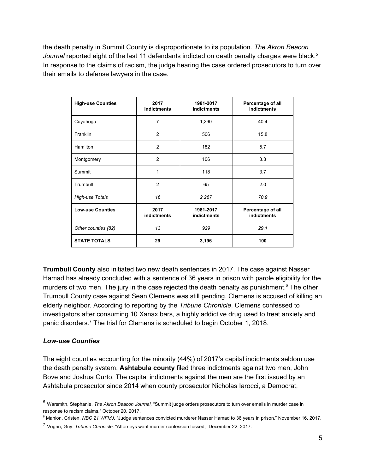the death penalty in Summit County is disproportionate to its population. *The Akron Beacon* Journal reported eight of the last 11 defendants indicted on death penalty charges were black.<sup>5</sup> In response to the claims of racism, the judge hearing the case ordered prosecutors to turn over their emails to defense lawyers in the case.

| <b>High-use Counties</b> | 2017<br><b>indictments</b> | 1981-2017<br><b>indictments</b> | Percentage of all<br><b>indictments</b> |
|--------------------------|----------------------------|---------------------------------|-----------------------------------------|
| Cuyahoga                 | $\overline{7}$             | 1,290                           | 40.4                                    |
| Franklin                 | 2                          | 506                             | 15.8                                    |
| Hamilton                 | 2                          | 182                             | 5.7                                     |
| Montgomery               | 2                          | 106                             | 3.3                                     |
| Summit                   | 1                          | 118                             | 3.7                                     |
| Trumbull                 | 2                          | 65                              | 2.0                                     |
| High-use Totals          | 16                         | 2,267                           | 70.9                                    |
| <b>Low-use Counties</b>  | 2017<br><b>indictments</b> | 1981-2017<br><b>indictments</b> | Percentage of all<br><b>indictments</b> |
| Other counties (82)      | 13                         | 929                             | 29.1                                    |
| <b>STATE TOTALS</b>      | 29                         | 3,196                           | 100                                     |

**Trumbull County** also initiated two new death sentences in 2017. The case against Nasser Hamad has already concluded with a sentence of 36 years in prison with parole eligibility for the murders of two men. The jury in the case rejected the death penalty as punishment. $6$  The other Trumbull County case against Sean Clemens was still pending. Clemens is accused of killing an elderly neighbor. According to reporting by the *Tribune Chronicle*, Clemens confessed to investigators after consuming 10 Xanax bars, a highly addictive drug used to treat anxiety and panic disorders.<sup>7</sup> The trial for Clemens is scheduled to begin October 1, 2018.

### *Low-use Counties*

The eight counties accounting for the minority (44%) of 2017's capital indictments seldom use the death penalty system. **Ashtabula county** filed three indictments against two men, John Bove and Joshua Gurto. The capital indictments against the men are the first issued by an Ashtabula prosecutor since 2014 when county prosecutor Nicholas Iarocci, a Democrat,

<sup>5</sup> Warsmith, Stephanie. *The Akron Beacon Journal,* "Summit judge orders prosecutors to turn over emails in murder case in response to racism claims." October 20, 2017.

<sup>6</sup> Manion, Cristen. *NBC 21 WFMJ*, "Judge sentences convicted murderer Nasser Hamad to 36 years in prison." November 16, 2017.

<sup>7</sup> Vogrin, Guy. *Tribune Chronicle,* "Attorneys want murder confession tossed," December 22, 2017.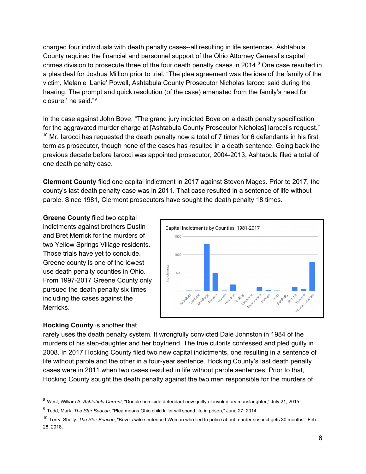charged four individuals with death penalty cases--all resulting in life sentences. Ashtabula County required the financial and personnel support of the Ohio Attorney General's capital crimes division to prosecute three of the four death penalty cases in 2014. $8$  One case resulted in a plea deal for Joshua Million prior to trial. "The plea agreement was the idea of the family of the victim, Melanie 'Lanie' Powell, Ashtabula County Prosecutor Nicholas Iarocci said during the hearing. The prompt and quick resolution (of the case) emanated from the family's need for closure,' he said." 9

In the case against John Bove, "The grand jury indicted Bove on a death penalty specification for the aggravated murder charge at [Ashtabula County Prosecutor Nicholas] Iarocci's request."  $10$  Mr. Iarocci has requested the death penalty now a total of 7 times for 6 defendants in his first term as prosecutor, though none of the cases has resulted in a death sentence. Going back the previous decade before Iarocci was appointed prosecutor, 2004-2013, Ashtabula filed a total of one death penalty case.

**Clermont County** filed one capital indictment in 2017 against Steven Mages. Prior to 2017, the county's last death penalty case was in 2011. That case resulted in a sentence of life without parole. Since 1981, Clermont prosecutors have sought the death penalty 18 times.

**Greene County** filed two capital indictments against brothers Dustin and Bret Merrick for the murders of two Yellow Springs Village residents. Those trials have yet to conclude. Greene county is one of the lowest use death penalty counties in Ohio. From 1997-2017 Greene County only pursued the death penalty six times including the cases against the Merricks.

#### **Hocking County** is another that



rarely uses the death penalty system. It wrongfully convicted Dale Johnston in 1984 of the murders of his step-daughter and her boyfriend. The true culprits confessed and pled guilty in 2008. In 2017 Hocking County filed two new capital indictments, one resulting in a sentence of life without parole and the other in a four-year sentence. Hocking County's last death penalty cases were in 2011 when two cases resulted in life without parole sentences. Prior to that, Hocking County sought the death penalty against the two men responsible for the murders of

<sup>8</sup> West, William A. *Ashtabula Current*, "Double homicide defendant now guilty of involuntary manslaughter," July 21, 2015.

<sup>9</sup> Todd, Mark. *The Star Beacon,* "Plea means Ohio child killer will spend life in prison," June 27, 2014.

<sup>10</sup> Terry, Shelly. *The Star Beacon*, "Bove's wife sentenced Woman who lied to police about murder suspect gets 30 months," Feb. 28, 2018.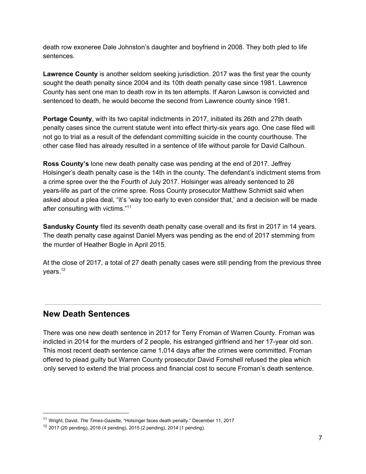death row exoneree Dale Johnston's daughter and boyfriend in 2008. They both pled to life sentences.

**Lawrence County** is another seldom seeking jurisdiction. 2017 was the first year the county sought the death penalty since 2004 and its 10th death penalty case since 1981. Lawrence County has sent one man to death row in its ten attempts. If Aaron Lawson is convicted and sentenced to death, he would become the second from Lawrence county since 1981.

**Portage County**, with its two capital indictments in 2017, initiated its 26th and 27th death penalty cases since the current statute went into effect thirty-six years ago. One case filed will not go to trial as a result of the defendant committing suicide in the county courthouse. The other case filed has already resulted in a sentence of life without parole for David Calhoun.

**Ross County's** lone new death penalty case was pending at the end of 2017. Jeffrey Holsinger's death penalty case is the 14th in the county. The defendant's indictment stems from a crime spree over the the Fourth of July 2017. Holsinger was already sentenced to 26 years-life as part of the crime spree. Ross County prosecutor Matthew Schmidt said when asked about a plea deal, "it's 'way too early to even consider that,' and a decision will be made after consulting with victims."<sup>11</sup>

**Sandusky County** filed its seventh death penalty case overall and its first in 2017 in 14 years. The death penalty case against Daniel Myers was pending as the end of 2017 stemming from the murder of Heather Bogle in April 2015.

At the close of 2017, a total of 27 death penalty cases were still pending from the previous three vears.<sup>12</sup>

### **New Death Sentences**

There was one new death sentence in 2017 for Terry Froman of Warren County. Froman was indicted in 2014 for the murders of 2 people, his estranged girlfriend and her 17-year old son. This most recent death sentence came 1,014 days after the crimes were committed. Froman offered to plead guilty but Warren County prosecutor David Fornshell refused the plea which only served to extend the trial process and financial cost to secure Froman's death sentence.

<sup>11</sup> Wright, David. *The Times-Gazette,* "Holsinger faces death penalty." December 11, 2017

 $12$  2017 (20 pending), 2016 (4 pending), 2015 (2 pending), 2014 (1 pending).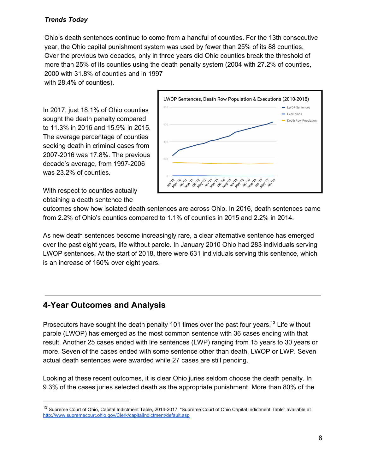### *Trends Today*

Ohio's death sentences continue to come from a handful of counties. For the 13th consecutive year, the Ohio capital punishment system was used by fewer than 25% of its 88 counties. Over the previous two decades, only in three years did Ohio counties break the threshold of more than 25% of its counties using the death penalty system (2004 with 27.2% of counties, 2000 with 31.8% of counties and in 1997

with 28.4% of counties).

In 2017, just 18.1% of Ohio counties sought the death penalty compared to 11.3% in 2016 and 15.9% in 2015. The average percentage of counties seeking death in criminal cases from 2007-2016 was 17.8%. The previous decade's average, from 1997-2006 was 23.2% of counties.



With respect to counties actually obtaining a death sentence the

outcomes show how isolated death sentences are across Ohio. In 2016, death sentences came from 2.2% of Ohio's counties compared to 1.1% of counties in 2015 and 2.2% in 2014.

As new death sentences become increasingly rare, a clear alternative sentence has emerged over the past eight years, life without parole. In January 2010 Ohio had 283 individuals serving LWOP sentences. At the start of 2018, there were 631 individuals serving this sentence, which is an increase of 160% over eight years.

## **4-Year Outcomes and Analysis**

Prosecutors have sought the death penalty 101 times over the past four years.<sup>13</sup> Life without parole (LWOP) has emerged as the most common sentence with 36 cases ending with that result. Another 25 cases ended with life sentences (LWP) ranging from 15 years to 30 years or more. Seven of the cases ended with some sentence other than death, LWOP or LWP. Seven actual death sentences were awarded while 27 cases are still pending.

Looking at these recent outcomes, it is clear Ohio juries seldom choose the death penalty. In 9.3% of the cases juries selected death as the appropriate punishment. More than 80% of the

<sup>&</sup>lt;sup>13</sup> Supreme Court of Ohio, Capital Indictment Table, 2014-2017. "Supreme Court of Ohio Capital Indictment Table" available at <http://www.supremecourt.ohio.gov/Clerk/capitalIndictment/default.asp>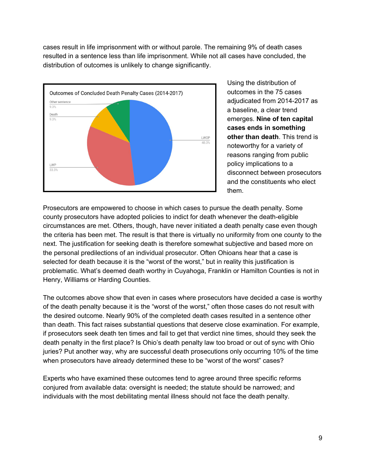cases result in life imprisonment with or without parole. The remaining 9% of death cases resulted in a sentence less than life imprisonment. While not all cases have concluded, the distribution of outcomes is unlikely to change significantly.



Using the distribution of outcomes in the 75 cases adjudicated from 2014-2017 as a baseline, a clear trend emerges. **Nine of ten capital cases ends in something other than death**. This trend is noteworthy for a variety of reasons ranging from public policy implications to a disconnect between prosecutors and the constituents who elect them.

Prosecutors are empowered to choose in which cases to pursue the death penalty. Some county prosecutors have adopted policies to indict for death whenever the death-eligible circumstances are met. Others, though, have never initiated a death penalty case even though the criteria has been met. The result is that there is virtually no uniformity from one county to the next. The justification for seeking death is therefore somewhat subjective and based more on the personal predilections of an individual prosecutor. Often Ohioans hear that a case is selected for death because it is the "worst of the worst," but in reality this justification is problematic. What's deemed death worthy in Cuyahoga, Franklin or Hamilton Counties is not in Henry, Williams or Harding Counties.

The outcomes above show that even in cases where prosecutors have decided a case is worthy of the death penalty because it is the "worst of the worst," often those cases do not result with the desired outcome. Nearly 90% of the completed death cases resulted in a sentence other than death. This fact raises substantial questions that deserve close examination. For example, if prosecutors seek death ten times and fail to get that verdict nine times, should they seek the death penalty in the first place? Is Ohio's death penalty law too broad or out of sync with Ohio juries? Put another way, why are successful death prosecutions only occurring 10% of the time when prosecutors have already determined these to be "worst of the worst" cases?

Experts who have examined these outcomes tend to agree around three specific reforms conjured from available data: oversight is needed; the statute should be narrowed; and individuals with the most debilitating mental illness should not face the death penalty.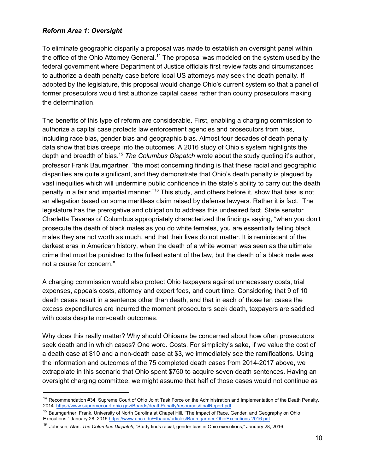#### *Reform Area 1: Oversight*

To eliminate geographic disparity a proposal was made to establish an oversight panel within the office of the Ohio Attorney General.<sup>14</sup> The proposal was modeled on the system used by the federal government where Department of Justice officials first review facts and circumstances to authorize a death penalty case before local US attorneys may seek the death penalty. If adopted by the legislature, this proposal would change Ohio's current system so that a panel of former prosecutors would first authorize capital cases rather than county prosecutors making the determination.

The benefits of this type of reform are considerable. First, enabling a charging commission to authorize a capital case protects law enforcement agencies and prosecutors from bias, including race bias, gender bias and geographic bias. Almost four decades of death penalty data show that bias creeps into the outcomes. A 2016 study of Ohio's system highlights the depth and breadth of bias.<sup>15</sup> The Columbus Dispatch wrote about the study quoting it's author, professor Frank Baumgartner, "the most concerning finding is that these racial and geographic disparities are quite significant, and they demonstrate that Ohio's death penalty is plagued by vast inequities which will undermine public confidence in the state's ability to carry out the death penalty in a fair and impartial manner."<sup>16</sup> This study, and others before it, show that bias is not an allegation based on some meritless claim raised by defense lawyers. Rather it is fact. The legislature has the prerogative and obligation to address this undesired fact. State senator Charletta Tavares of Columbus appropriately characterized the findings saying, "when you don't prosecute the death of black males as you do white females, you are essentially telling black males they are not worth as much, and that their lives do not matter. It is reminiscent of the darkest eras in American history, when the death of a white woman was seen as the ultimate crime that must be punished to the fullest extent of the law, but the death of a black male was not a cause for concern."

A charging commission would also protect Ohio taxpayers against unnecessary costs, trial expenses, appeals costs, attorney and expert fees, and court time. Considering that 9 of 10 death cases result in a sentence other than death, and that in each of those ten cases the excess expenditures are incurred the moment prosecutors seek death, taxpayers are saddled with costs despite non-death outcomes.

Why does this really matter? Why should Ohioans be concerned about how often prosecutors seek death and in which cases? One word. Costs. For simplicity's sake, if we value the cost of a death case at \$10 and a non-death case at \$3, we immediately see the ramifications. Using the information and outcomes of the 75 completed death cases from 2014-2017 above, we extrapolate in this scenario that Ohio spent \$750 to acquire seven death sentences. Having an oversight charging committee, we might assume that half of those cases would not continue as

<sup>&</sup>lt;sup>14</sup> Recommendation #34, Supreme Court of Ohio Joint Task Force on the Administration and Implementation of the Death Penalty, 2014.<https://www.supremecourt.ohio.gov/Boards/deathPenalty/resources/finalReport.pdf>

<sup>&</sup>lt;sup>15</sup> Baumgartner, Frank, University of North Carolina at Chapel Hill. "The Impact of Race, Gender, and Geography on Ohio Executions." January 28, 2016[.https://www.unc.edu/~fbaum/articles/Baumgartner-OhioExecutions-2016.pdf](https://www.unc.edu/~fbaum/articles/Baumgartner-OhioExecutions-2016.pdf)

<sup>16</sup> Johnson, Alan. *The Columbus Dispatch*, "Study finds racial, gender bias in Ohio executions," January 28, 2016.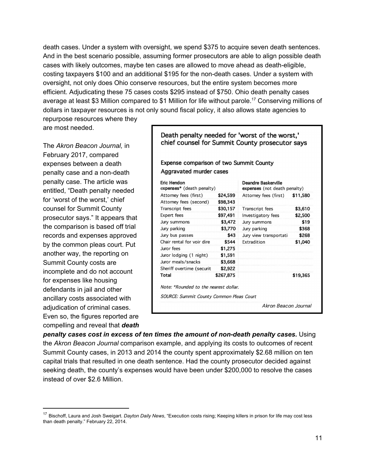death cases. Under a system with oversight, we spend \$375 to acquire seven death sentences. And in the best scenario possible, assuming former prosecutors are able to align possible death cases with likely outcomes, maybe ten cases are allowed to move ahead as death-eligible, costing taxpayers \$100 and an additional \$195 for the non-death cases. Under a system with oversight, not only does Ohio conserve resources, but the entire system becomes more efficient. Adjudicating these 75 cases costs \$295 instead of \$750. Ohio death penalty cases average at least \$3 Million compared to \$1 Million for life without parole.<sup>17</sup> Conserving millions of dollars in taxpayer resources is not only sound fiscal policy, it also allows state agencies to repurpose resources where they

are most needed.

The *Akron Beacon Journal,* in February 2017, compared expenses between a death penalty case and a non-death penalty case. The article was entitled, "Death penalty needed for 'worst of the worst,' chief counsel for Summit County prosecutor says." It appears that the comparison is based off trial records and expenses approved by the common pleas court. Put another way, the reporting on Summit County costs are incomplete and do not account for expenses like housing defendants in jail and other ancillary costs associated with adjudication of criminal cases. Even so, the figures reported are compelling and reveal that *death* Death penalty needed for 'worst of the worst,' chief counsel for Summit County prosecutor says

Expense comparison of two Summit County Aggravated murder cases

| Eric Hendon<br>expenses* (death penalty)        |           | Deandre Baskerville<br>expenses (not death penalty) |          |
|-------------------------------------------------|-----------|-----------------------------------------------------|----------|
| Attorney fees (first)                           | \$24,599  | Attorney fees (first)                               | \$11,580 |
| Attorney fees (second)                          | \$98,343  |                                                     |          |
| <b>Transcript fees</b>                          | \$30,157  | <b>Transcript</b> fees                              | \$3,610  |
| Expert fees                                     | \$97,491  | Investigatory fees                                  | \$2,500  |
| Jury summons                                    | \$3,472   | Jury summons                                        | \$19     |
| Jury parking                                    | \$3,770   | Jury parking                                        | \$368    |
| Jury bus passes                                 | \$43      | Jury view transportati                              | \$268    |
| Chair rental for voir dire                      | \$544     | Extradition                                         | \$1,040  |
| Juror fees                                      | \$1,275   |                                                     |          |
| Juror lodging (1 night)                         | \$1,591   |                                                     |          |
| Juror meals/snacks                              | \$3,668   |                                                     |          |
| Sheriff overtime (securit                       | \$2,922   |                                                     |          |
| Total                                           | \$267,875 |                                                     | \$19,365 |
| Note: *Rounded to the nearest dollar.           |           |                                                     |          |
| <b>SOURCE: Summit County Common Pleas Court</b> |           |                                                     |          |
|                                                 |           | Akron Beacon Journal                                |          |

*penalty cases cost in excess of ten times the amount of non-death penalty cases.* Using the *Akron Beacon Journal* comparison example, and applying its costs to outcomes of recent Summit County cases, in 2013 and 2014 the county spent approximately \$2.68 million on ten capital trials that resulted in one death sentence. Had the county prosecutor decided against seeking death, the county's expenses would have been under \$200,000 to resolve the cases instead of over \$2.6 Million.

<sup>17</sup> Bischoff, Laura and Josh Sweigart. *Dayton Daily News*, "Execution costs rising; Keeping killers in prison for life may cost less than death penalty." February 22, 2014.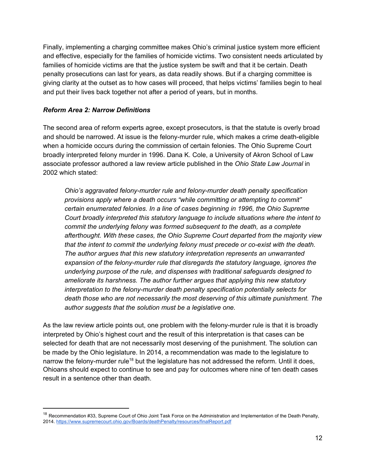Finally, implementing a charging committee makes Ohio's criminal justice system more efficient and effective, especially for the families of homicide victims. Two consistent needs articulated by families of homicide victims are that the justice system be swift and that it be certain. Death penalty prosecutions can last for years, as data readily shows. But if a charging committee is giving clarity at the outset as to how cases will proceed, that helps victims' families begin to heal and put their lives back together not after a period of years, but in months.

### *Reform Area 2: Narrow Definitions*

The second area of reform experts agree, except prosecutors, is that the statute is overly broad and should be narrowed. At issue is the felony-murder rule, which makes a crime death-eligible when a homicide occurs during the commission of certain felonies. The Ohio Supreme Court broadly interpreted felony murder in 1996. Dana K. Cole, a University of Akron School of Law associate professor authored a law review article published in the *Ohio State Law Journal* in 2002 which stated:

*Ohio's aggravated felony-murder rule and felony-murder death penalty specification provisions apply where a death occurs "while committing or attempting to commit" certain enumerated felonies. In a line of cases beginning in 1996, the Ohio Supreme Court broadly interpreted this statutory language to include situations where the intent to commit the underlying felony was formed subsequent to the death, as a complete afterthought. With these cases, the Ohio Supreme Court departed from the majority view that the intent to commit the underlying felony must precede or co-exist with the death. The author argues that this new statutory interpretation represents an unwarranted expansion of the felony-murder rule that disregards the statutory language, ignores the underlying purpose of the rule, and dispenses with traditional safeguards designed to ameliorate its harshness. The author further argues that applying this new statutory interpretation to the felony-murder death penalty specification potentially selects for death those who are not necessarily the most deserving of this ultimate punishment. The author suggests that the solution must be a legislative one.* 

As the law review article points out, one problem with the felony-murder rule is that it is broadly interpreted by Ohio's highest court and the result of this interpretation is that cases can be selected for death that are not necessarily most deserving of the punishment. The solution can be made by the Ohio legislature. In 2014, a recommendation was made to the legislature to narrow the felony-murder rule<sup>18</sup> but the legislature has not addressed the reform. Until it does, Ohioans should expect to continue to see and pay for outcomes where nine of ten death cases result in a sentence other than death.

<sup>&</sup>lt;sup>18</sup> Recommendation #33, Supreme Court of Ohio Joint Task Force on the Administration and Implementation of the Death Penalty, 2014.<https://www.supremecourt.ohio.gov/Boards/deathPenalty/resources/finalReport.pdf>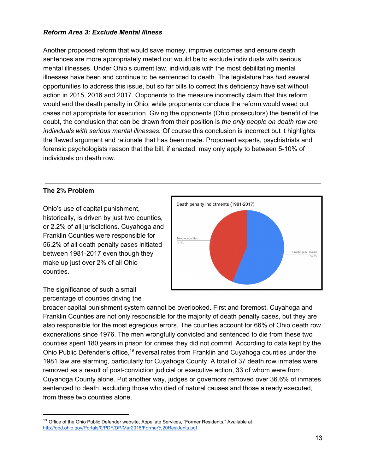#### *Reform Area 3: Exclude Mental Illness*

Another proposed reform that would save money, improve outcomes and ensure death sentences are more appropriately meted out would be to exclude individuals with serious mental illnesses. Under Ohio's current law, individuals with the most debilitating mental illnesses have been and continue to be sentenced to death. The legislature has had several opportunities to address this issue, but so far bills to correct this deficiency have sat without action in 2015, 2016 and 2017. Opponents to the measure incorrectly claim that this reform would end the death penalty in Ohio, while proponents conclude the reform would weed out cases not appropriate for execution. Giving the opponents (Ohio prosecutors) the benefit of the doubt, the conclusion that can be drawn from their position is *the only people on death row are individuals with serious mental illnesses.* Of course this conclusion is incorrect but it highlights the flawed argument and rationale that has been made. Proponent experts, psychiatrists and forensic psychologists reason that the bill, if enacted, may only apply to between 5-10% of individuals on death row.

#### **The 2% Problem**

Ohio's use of capital punishment, historically, is driven by just two counties, or 2.2% of all jurisdictions. Cuyahoga and Franklin Counties were responsible for 56.2% of all death penalty cases initiated between 1981-2017 even though they make up just over 2% of all Ohio counties.



The significance of such a small percentage of counties driving the

broader capital punishment system cannot be overlooked. First and foremost, Cuyahoga and Franklin Counties are not only responsible for the majority of death penalty cases, but they are also responsible for the most egregious errors. The counties account for 66% of Ohio death row exonerations since 1976. The men wrongfully convicted and sentenced to die from these two counties spent 180 years in prison for crimes they did not commit. According to data kept by the Ohio Public Defender's office,<sup>19</sup> reversal rates from Franklin and Cuyahoga counties under the 1981 law are alarming, particularly for Cuyahoga County. A total of 37 death row inmates were removed as a result of post-conviction judicial or executive action, 33 of whom were from Cuyahoga County alone. Put another way, judges or governors removed over 36.6% of inmates sentenced to death, excluding those who died of natural causes and those already executed, from these two counties alone.

<sup>&</sup>lt;sup>19</sup> Office of the Ohio Public Defender website, Appellate Services, "Former Residents." Available at <http://opd.ohio.gov/Portals/0/PDF/DP/Mar2018/Former%20Residents.pdf>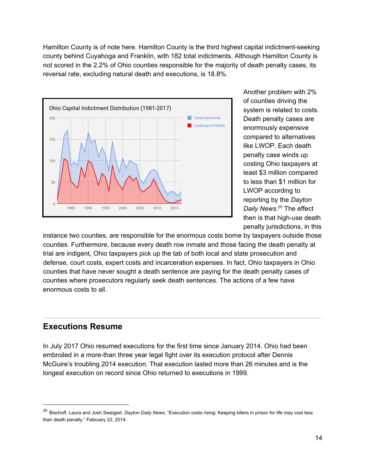Hamilton County is of note here. Hamilton County is the third highest capital indictment-seeking county behind Cuyahoga and Franklin, with 182 total indictments. Although Hamilton County is not scored in the 2.2% of Ohio counties responsible for the majority of death penalty cases, its reversal rate, excluding natural death and executions, is 18.8%.



Another problem with 2% of counties driving the system is related to costs. Death penalty cases are enormously expensive compared to alternatives like LWOP. Each death penalty case winds up costing Ohio taxpayers at least \$3 million compared to less than \$1 million for LWOP according to reporting by the *Dayton* Daily News.<sup>20</sup> The effect then is that high-use death penalty jurisdictions, in this

instance two counties, are responsible for the enormous costs borne by taxpayers outside those counties. Furthermore, because every death row inmate and those facing the death penalty at trial are indigent, Ohio taxpayers pick up the tab of both local and state prosecution and defense, court costs, expert costs and incarceration expenses. In fact, Ohio taxpayers in Ohio counties that have never sought a death sentence are paying for the death penalty cases of counties where prosecutors regularly seek death sentences. The actions of a few have enormous costs to all.

### **Executions Resume**

In July 2017 Ohio resumed executions for the first time since January 2014. Ohio had been embroiled in a more-than three year legal fight over its execution protocol after Dennis McGuire's troubling 2014 execution. That execution lasted more than 26 minutes and is the longest execution on record since Ohio returned to executions in 1999.

<sup>20</sup> Bischoff, Laura and Josh Sweigart. *Dayton Daily News*, "Execution costs rising: Keeping killers in prison for life may cost less than death penalty." February 22, 2014.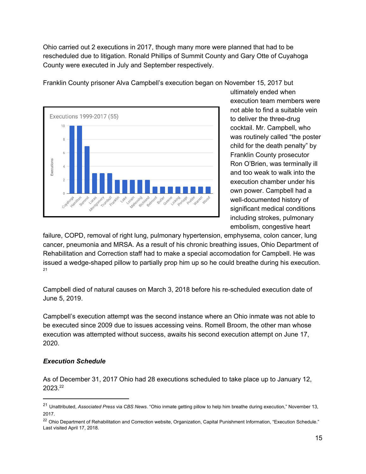Ohio carried out 2 executions in 2017, though many more were planned that had to be rescheduled due to litigation. Ronald Phillips of Summit County and Gary Otte of Cuyahoga County were executed in July and September respectively.



Franklin County prisoner Alva Campbell's execution began on November 15, 2017 but

ultimately ended when execution team members were not able to find a suitable vein to deliver the three-drug cocktail. Mr. Campbell, who was routinely called "the poster child for the death penalty" by Franklin County prosecutor Ron O'Brien, was terminally ill and too weak to walk into the execution chamber under his own power. Campbell had a well-documented history of significant medical conditions including strokes, pulmonary embolism, congestive heart

failure, COPD, removal of right lung, pulmonary hypertension, emphysema, colon cancer, lung cancer, pneumonia and MRSA. As a result of his chronic breathing issues, Ohio Department of Rehabilitation and Correction staff had to make a special accomodation for Campbell. He was issued a wedge-shaped pillow to partially prop him up so he could breathe during his execution. 21

Campbell died of natural causes on March 3, 2018 before his re-scheduled execution date of June 5, 2019.

Campbell's execution attempt was the second instance where an Ohio inmate was not able to be executed since 2009 due to issues accessing veins. Romell Broom, the other man whose execution was attempted without success, awaits his second execution attempt on June 17, 2020.

### *Execution Schedule*

As of December 31, 2017 Ohio had 28 executions scheduled to take place up to January 12, 2023. 22

<sup>21</sup> Unattributed, *Associated Press* via *CBS News*. "Ohio inmate getting pillow to help him breathe during execution," November 13, 2017.

<sup>&</sup>lt;sup>22</sup> Ohio Department of Rehabilitation and Correction website, Organization, Capital Punishment Information, "Execution Schedule." Last visited April 17, 2018.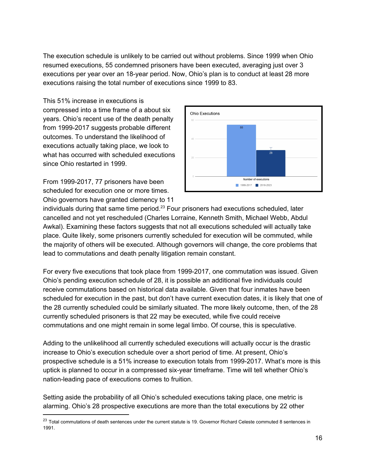The execution schedule is unlikely to be carried out without problems. Since 1999 when Ohio resumed executions, 55 condemned prisoners have been executed, averaging just over 3 executions per year over an 18-year period. Now, Ohio's plan is to conduct at least 28 more executions raising the total number of executions since 1999 to 83.

This 51% increase in executions is compressed into a time frame of a about six years. Ohio's recent use of the death penalty from 1999-2017 suggests probable different outcomes. To understand the likelihood of executions actually taking place, we look to what has occurred with scheduled executions since Ohio restarted in 1999.

From 1999-2017, 77 prisoners have been scheduled for execution one or more times. Ohio governors have granted clemency to 11



individuals during that same time period. $^{23}$  Four prisoners had executions scheduled, later cancelled and not yet rescheduled (Charles Lorraine, Kenneth Smith, Michael Webb, Abdul Awkal). Examining these factors suggests that not all executions scheduled will actually take place. Quite likely, some prisoners currently scheduled for execution will be commuted, while the majority of others will be executed. Although governors will change, the core problems that lead to commutations and death penalty litigation remain constant.

For every five executions that took place from 1999-2017, one commutation was issued. Given Ohio's pending execution schedule of 28, it is possible an additional five individuals could receive commutations based on historical data available. Given that four inmates have been scheduled for execution in the past, but don't have current execution dates, it is likely that one of the 28 currently scheduled could be similarly situated. The more likely outcome, then, of the 28 currently scheduled prisoners is that 22 may be executed, while five could receive commutations and one might remain in some legal limbo. Of course, this is speculative.

Adding to the unlikelihood all currently scheduled executions will actually occur is the drastic increase to Ohio's execution schedule over a short period of time. At present, Ohio's prospective schedule is a 51% increase to execution totals from 1999-2017. What's more is this uptick is planned to occur in a compressed six-year timeframe. Time will tell whether Ohio's nation-leading pace of executions comes to fruition.

Setting aside the probability of all Ohio's scheduled executions taking place, one metric is alarming. Ohio's 28 prospective executions are more than the total executions by 22 other

<sup>&</sup>lt;sup>23</sup> Total commutations of death sentences under the current statute is 19. Governor Richard Celeste commuted 8 sentences in 1991.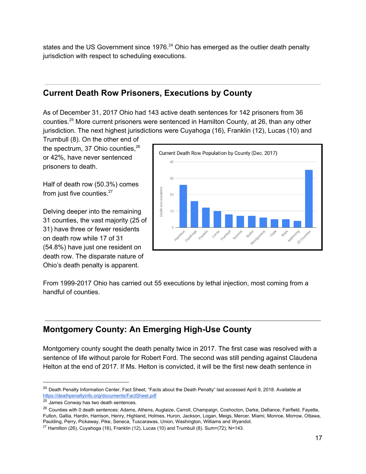states and the US Government since 1976. $24$  Ohio has emerged as the outlier death penalty jurisdiction with respect to scheduling executions.

## **Current Death Row Prisoners, Executions by County**

As of December 31, 2017 Ohio had 143 active death sentences for 142 prisoners from 36 counties.<sup>25</sup> More current prisoners were sentenced in Hamilton County, at 26, than any other jurisdiction. The next highest jurisdictions were Cuyahoga (16), Franklin (12), Lucas (10) and

Trumbull (8). On the other end of the spectrum, 37 Ohio counties, 26 or 42%, have never sentenced prisoners to death.

Half of death row (50.3%) comes from just five counties.<sup>27</sup>

Delving deeper into the remaining 31 counties, the vast majority (25 of 31) have three or fewer residents on death row while 17 of 31 (54.8%) have just one resident on death row. The disparate nature of Ohio's death penalty is apparent.



From 1999-2017 Ohio has carried out 55 executions by lethal injection, most coming from a handful of counties.

## **Montgomery County: An Emerging High-Use County**

Montgomery county sought the death penalty twice in 2017. The first case was resolved with a sentence of life without parole for Robert Ford. The second was still pending against Claudena Helton at the end of 2017. If Ms. Helton is convicted, it will be the first new death sentence in

<sup>&</sup>lt;sup>24</sup> Death Penalty Information Center, Fact Sheet, "Facts about the Death Penalty" last accessed April 9, 2018. Available at <https://deathpenaltyinfo.org/documents/FactSheet.pdf>

<sup>&</sup>lt;sup>25</sup> James Conway has two death sentences.

<sup>&</sup>lt;sup>26</sup> Counties with 0 death sentences: Adams, Athens, Auglaize, Carroll, Champaign, Coshocton, Darke, Defiance, Fairfield, Fayette, Fulton, Gallia, Hardin, Harrison, Henry, Highland, Holmes, Huron, Jackson, Logan, Meigs, Mercer, Miami, Monroe, Morrow, Ottawa, Paulding, Perry, Pickaway, Pike, Seneca, Tuscarawas, Union, Washington, Williams and Wyandot.

<sup>&</sup>lt;sup>27</sup> Hamilton (26), Cuyahoga (16), Franklin (12), Lucas (10) and Trumbull (8). Sum=(72); N=143.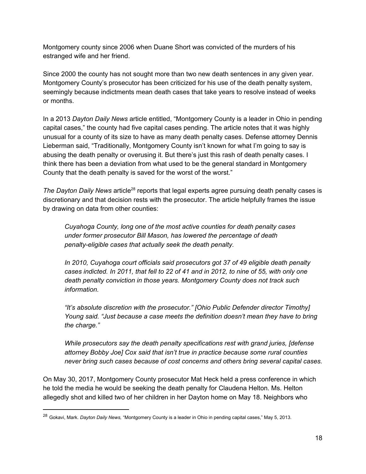Montgomery county since 2006 when Duane Short was convicted of the murders of his estranged wife and her friend.

Since 2000 the county has not sought more than two new death sentences in any given year. Montgomery County's prosecutor has been criticized for his use of the death penalty system, seemingly because indictments mean death cases that take years to resolve instead of weeks or months.

In a 2013 *Dayton Daily News* article entitled, "Montgomery County is a leader in Ohio in pending capital cases," the county had five capital cases pending. The article notes that it was highly unusual for a county of its size to have as many death penalty cases. Defense attorney Dennis Lieberman said, "Traditionally, Montgomery County isn't known for what I'm going to say is abusing the death penalty or overusing it. But there's just this rash of death penalty cases. I think there has been a deviation from what used to be the general standard in Montgomery County that the death penalty is saved for the worst of the worst."

The Dayton Daily News article<sup>28</sup> reports that legal experts agree pursuing death penalty cases is discretionary and that decision rests with the prosecutor. The article helpfully frames the issue by drawing on data from other counties:

*Cuyahoga County, long one of the most active counties for death penalty cases under former prosecutor Bill Mason, has lowered the percentage of death penalty-eligible cases that actually seek the death penalty.*

*In 2010, Cuyahoga court officials said prosecutors got 37 of 49 eligible death penalty* cases indicted. In 2011, that fell to 22 of 41 and in 2012, to nine of 55, with only one *death penalty conviction in those years. Montgomery County does not track such information.*

*"It's absolute discretion with the prosecutor." [Ohio Public Defender director Timothy] Young said. "Just because a case meets the definition doesn't mean they have to bring the charge."*

*While prosecutors say the death penalty specifications rest with grand juries, [defense attorney Bobby Joe] Cox said that isn't true in practice because some rural counties never bring such cases because of cost concerns and others bring several capital cases.*

On May 30, 2017, Montgomery County prosecutor Mat Heck held a press conference in which he told the media he would be seeking the death penalty for Claudena Helton. Ms. Helton allegedly shot and killed two of her children in her Dayton home on May 18. Neighbors who

<sup>28</sup> Gokavi, Mark. *Dayton Daily News,* "Montgomery County is a leader in Ohio in pending capital cases," May 5, 2013.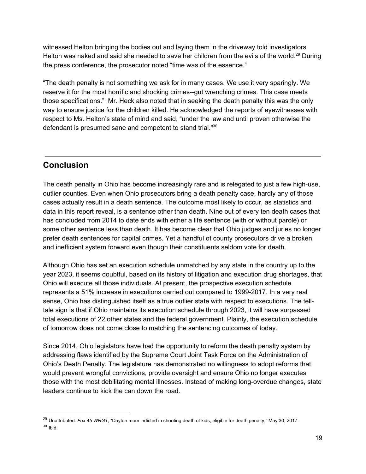witnessed Helton bringing the bodies out and laying them in the driveway told investigators Helton was naked and said she needed to save her children from the evils of the world.<sup>29</sup> During the press conference, the prosecutor noted "time was of the essence."

"The death penalty is not something we ask for in many cases. We use it very sparingly. We reserve it for the most horrific and shocking crimes--gut wrenching crimes. This case meets those specifications." Mr. Heck also noted that in seeking the death penalty this was the only way to ensure justice for the children killed. He acknowledged the reports of eyewitnesses with respect to Ms. Helton's state of mind and said, "under the law and until proven otherwise the defendant is presumed sane and competent to stand trial."<sup>30</sup>

## **Conclusion**

The death penalty in Ohio has become increasingly rare and is relegated to just a few high-use, outlier counties. Even when Ohio prosecutors bring a death penalty case, hardly any of those cases actually result in a death sentence. The outcome most likely to occur, as statistics and data in this report reveal, is a sentence other than death. Nine out of every ten death cases that has concluded from 2014 to date ends with either a life sentence (with or without parole) or some other sentence less than death. It has become clear that Ohio judges and juries no longer prefer death sentences for capital crimes. Yet a handful of county prosecutors drive a broken and inefficient system forward even though their constituents seldom vote for death.

Although Ohio has set an execution schedule unmatched by any state in the country up to the year 2023, it seems doubtful, based on its history of litigation and execution drug shortages, that Ohio will execute all those individuals. At present, the prospective execution schedule represents a 51% increase in executions carried out compared to 1999-2017. In a very real sense, Ohio has distinguished itself as a true outlier state with respect to executions. The telltale sign is that if Ohio maintains its execution schedule through 2023, it will have surpassed total executions of 22 other states and the federal government. Plainly, the execution schedule of tomorrow does not come close to matching the sentencing outcomes of today.

Since 2014, Ohio legislators have had the opportunity to reform the death penalty system by addressing flaws identified by the Supreme Court Joint Task Force on the Administration of Ohio's Death Penalty. The legislature has demonstrated no willingness to adopt reforms that would prevent wrongful convictions, provide oversight and ensure Ohio no longer executes those with the most debilitating mental illnesses. Instead of making long-overdue changes, state leaders continue to kick the can down the road.

<sup>29</sup> Unattributed. *Fox 45 WRGT*, "Dayton mom indicted in shooting death of kids, eligible for death penalty," May 30, 2017.  $30$  Ibid.